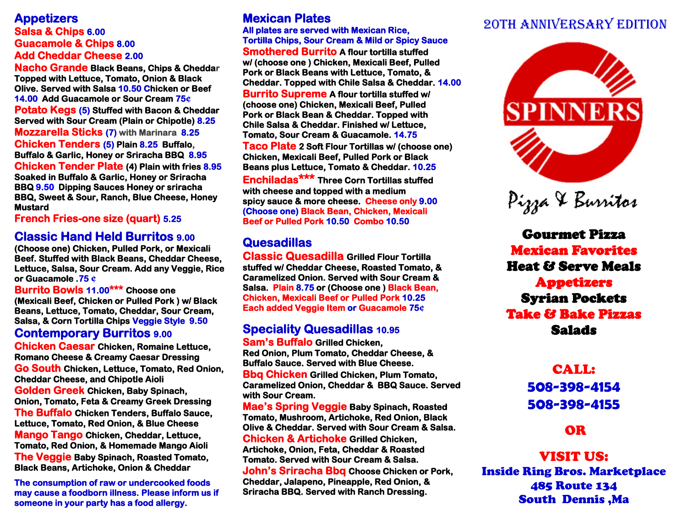## **Salsa & Chips 6.00 Guacamole & Chips 8.00 Add Cheddar Cheese 2.00**

**Nacho Grande Black Beans, Chips & Cheddar Topped with Lettuce, Tomato, Onion & Black Olive. Served with Salsa 10.50 Chicken or Beef 14.00 Add Guacamole or Sour Cream 75¢ Potato Kegs (5) Stuffed with Bacon & Cheddar Served with Sour Cream (Plain or Chipotle) 8.25 Mozzarella Sticks (7) with Marinara 8.25 Chicken Tenders (5) Plain 8.25 Buffalo, Buffalo & Garlic, Honey or Sriracha BBQ 8.95 Chicken Tender Plate (4) Plain with fries 8.95 Soaked in Buffalo & Garlic, Honey or Sriracha BBQ 9.50 Dipping Sauces Honey or sriracha BBQ, Sweet & Sour, Ranch, Blue Cheese, Honey Mustard** 

**French Fries-one size (quart) 5.25** 

## **Classic Hand Held Burritos 9.00**

**(Choose one) Chicken, Pulled Pork, or Mexicali Beef. Stuffed with Black Beans, Cheddar Cheese, Lettuce, Salsa, Sour Cream. Add any Veggie, Rice or Guacamole .75 ¢** 

**Burrito Bowls 11.00\*\*\* Choose one (Mexicali Beef, Chicken or Pulled Pork ) w/ Black Beans, Lettuce, Tomato, Cheddar, Sour Cream, Salsa, & Corn Tortilla Chips Veggie Style 9.50** 

### **Contemporary Burritos 9.00**

**Chicken Caesar Chicken, Romaine Lettuce, Romano Cheese & Creamy Caesar Dressing Go South Chicken, Lettuce, Tomato, Red Onion, Cheddar Cheese, and Chipotle Aioli Golden Greek Chicken, Baby Spinach, Onion, Tomato, Feta & Creamy Greek Dressing The Buffalo Chicken Tenders, Buffalo Sauce, Lettuce, Tomato, Red Onion, & Blue Cheese Mango Tango Chicken, Cheddar, Lettuce, Tomato, Red Onion, & Homemade Mango Aioli The Veggie Baby Spinach, Roasted Tomato, Black Beans, Artichoke, Onion & Cheddar** 

**The consumption of raw or undercooked foods may cause a foodborn illness. Please inform us if someone in your party has a food allergy.** 

## **Mexican Plates**

**All plates are served with Mexican Rice, Tortilla Chips, Sour Cream & Mild or Spicy Sauce Smothered Burrito A flour tortilla stuffed w/ (choose one ) Chicken, Mexicali Beef, Pulled Pork or Black Beans with Lettuce, Tomato, & Cheddar. Topped with Chile Salsa & Cheddar. 14.00**

**Burrito Supreme A flour tortilla stuffed w/ (choose one) Chicken, Mexicali Beef, Pulled Pork or Black Bean & Cheddar. Topped with Chile Salsa & Cheddar. Finished w/ Lettuce, Tomato, Sour Cream & Guacamole. 14.75** 

**Taco Plate 2 Soft Flour Tortillas w/ (choose one) Chicken, Mexicali Beef, Pulled Pork or Black Beans plus Lettuce, Tomato & Cheddar. 10.25** 

**Enchiladas\*\*\* Three Corn Tortillas stuffed with cheese and topped with a medium spicy sauce & more cheese. Cheese only 9.00 (Choose one) Black Bean, Chicken, Mexicali Beef or Pulled Pork 10.50 Combo 10.50** 

## **Quesadillas**

**Classic Quesadilla Grilled Flour Tortilla stuffed w/ Cheddar Cheese, Roasted Tomato, & Caramelized Onion. Served with Sour Cream & Salsa. Plain 8.75 or (Choose one ) Black Bean, Chicken, Mexicali Beef or Pulled Pork 10.25 Each added Veggie Item or Guacamole 75¢**

#### **Speciality Quesadillas 10.95 Sam's Buffalo Grilled Chicken,**

**Red Onion, Plum Tomato, Cheddar Cheese, & Buffalo Sauce. Served with Blue Cheese.** 

**Bbq Chicken Grilled Chicken, Plum Tomato, Caramelized Onion, Cheddar & BBQ Sauce. Served with Sour Cream.** 

**Mae's Spring Veggie Baby Spinach, Roasted Tomato, Mushroom, Artichoke, Red Onion, Black Olive & Cheddar. Served with Sour Cream & Salsa. Chicken & Artichoke Grilled Chicken, Artichoke, Onion, Feta, Cheddar & Roasted Tomato. Served with Sour Cream & Salsa. John's Sriracha Bbq Choose Chicken or Pork, Cheddar, Jalapeno, Pineapple, Red Onion, & Sriracha BBQ. Served with Ranch Dressing.** 

# Appetizers **Appetizers Mexican Plates Appetizers Appetizers Appetizers Appetizers Appetizers Appetizers Appetizers Appetizers Appetizers Appetizers Appetizers Appetizers Appetizers Appetizers**





Gourmet Pizza Mexican Favorites Heat & Serve Meals Appetizers Syrian Pockets Take & Bake Pizzas Salads

## CALL: **508-398-4154 508-398-4155**

## OR

VISIT US: Inside Ring Bros. Marketplace 485 Route 134 South Dennis ,Ma